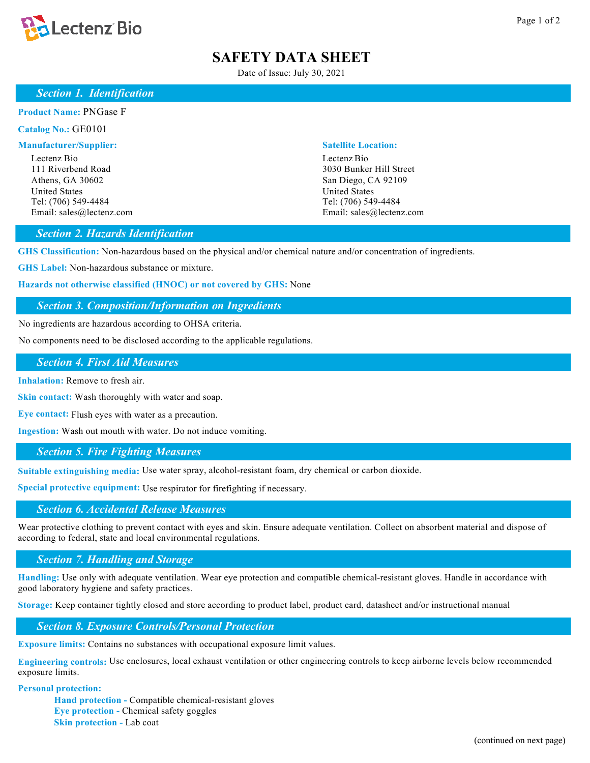

# **SAFETY DATA SHEET**

Date of Issue: July 30, 2021

# *Section 1. Identification*

#### **Product Name:** PNGase F

**Catalog No.:** GE0101

#### **Manufacturer/Supplier: Satellite Location:**

Lectenz Bio Lectenz Bio 111 Riverbend Road 3030 Bunker Hill Street Athens, GA 30602 San Diego, CA 92109 United States United States United States Tel: (706) 549-4484 Tel: (706) 549-4484

Email: sales@lectenz.com Email: sales@lectenz.com

# *Section 2. Hazards Identification*

**GHS Classification:** Non-hazardous based on the physical and/or chemical nature and/or concentration of ingredients.

**GHS Label:** Non-hazardous substance or mixture.

**Hazards not otherwise classified (HNOC) or not covered by GHS:** None

# *Section 3. Composition/Information on Ingredients*

No ingredients are hazardous according to OHSA criteria.

No components need to be disclosed according to the applicable regulations.

# *Section 4. First Aid Measures*

**Inhalation:** Remove to fresh air.

**Skin contact:** Wash thoroughly with water and soap.

**Eye contact:** Flush eyes with water as a precaution.

**Ingestion:** Wash out mouth with water. Do not induce vomiting.

## *Section 5. Fire Fighting Measures*

**Suitable extinguishing media:** Use water spray, alcohol-resistant foam, dry chemical or carbon dioxide.

**Special protective equipment:** Use respirator for firefighting if necessary.

# *Section 6. Accidental Release Measures*

Wear protective clothing to prevent contact with eyes and skin. Ensure adequate ventilation. Collect on absorbent material and dispose of according to federal, state and local environmental regulations.

## *Section 7. Handling and Storage*

**Handling:** Use only with adequate ventilation. Wear eye protection and compatible chemical-resistant gloves. Handle in accordance with good laboratory hygiene and safety practices.

**Storage:** Keep container tightly closed and store according to product label, product card, datasheet and/or instructional manual

*Section 8. Exposure Controls/Personal Protection*

**Exposure limits:** Contains no substances with occupational exposure limit values.

**Engineering controls:** Use enclosures, local exhaust ventilation or other engineering controls to keep airborne levels below recommended exposure limits.

# **Personal protection:**

**Hand protection -** Compatible chemical-resistant gloves **Eye protection -** Chemical safety goggles **Skin protection -** Lab coat